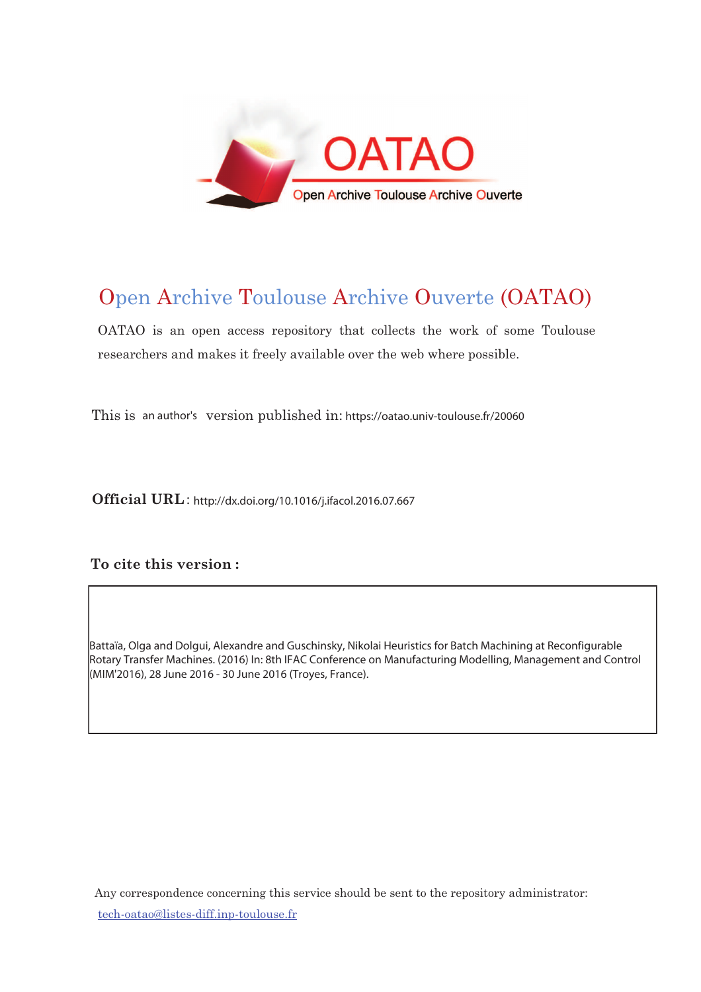

# Open Archive Toulouse Archive Ouverte (OATAO)

OATAO is an open access repository that collects the work of some Toulouse researchers and makes it freely available over the web where possible.

This is an author's version published in: https://oatao.univ-toulouse.fr/20060

Official URL: http://dx.doi.org/10.1016/j.ifacol.2016.07.667

# To cite this version :

Battaïa, Olga and Dolgui, Alexandre and Guschinsky, Nikolai Heuristics for Batch Machining at Reconfigurable Rotary Transfer Machines. (2016) In: 8th IFAC Conference on Manufacturing Modelling, Management and Control (MIM'2016), 28 June 2016 - 30 June 2016 (Troyes, France).

Any correspondence concerning this service should be sent to the repository administrator: <u>tech-oatao@listes-diff.inp-toulouse.fr</u>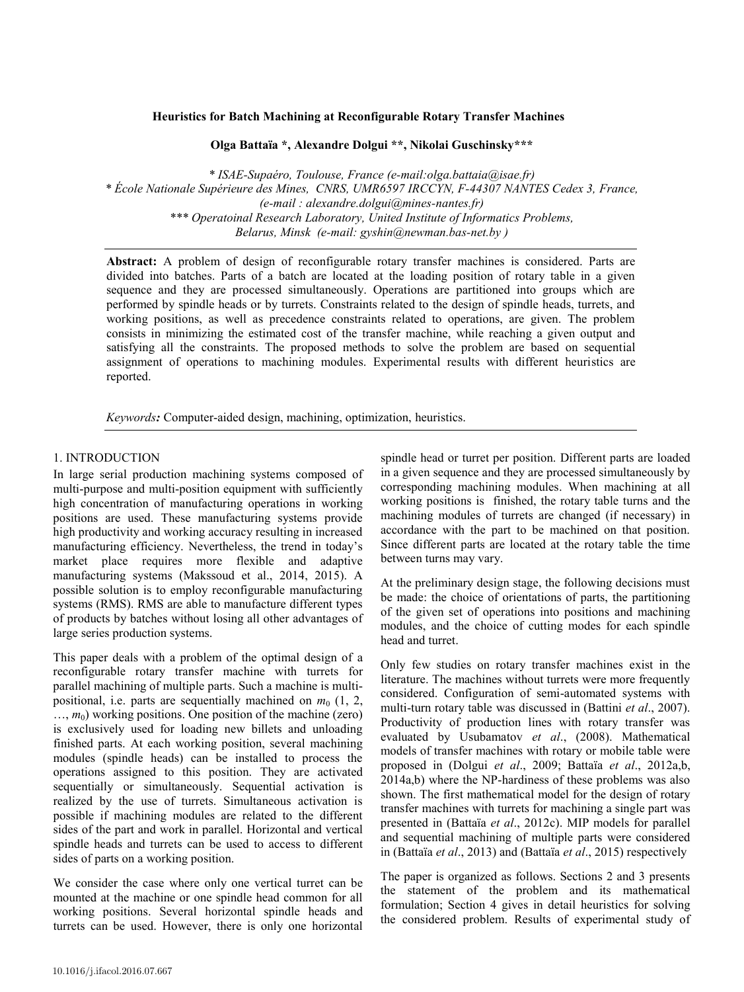# Heuristics for Batch Machining at Reconfigurable Rotary Transfer Machines

*\* ISAE-Supaéro, Toulouse, France (e-mail:olga.battaia@isae.fr)* **Olga Battaïa \*, Alexandre Dolgui \*\*, Nikolai Guschinsky\*\*\***

\* ISAE-Supaéro, Toulouse, France (e-mail:olga.battaia@isae.fr) \* École Nationale Supérieure des Mines, CNRS, UMR6597 IRCCYN, F-44307 NANTES Cedex 3, France, *\*\*\* Operatoinal Research Laboratory, United Institute of Informatics Problems, Belarus, Minsk (e-mail: gyshin@newman.bas-net.by ) (e-mail : alexandre.dolgui@mines-nantes.fr) Belarus, Minsk (e-mail: gyshin@newman.bas-net.by ) \*\*\* Operatoinal Research Laboratory, United Institute of Informatics Problems, Belarus, Minsk (e-mail: gyshin@newman.bas-net.by )* 

divided into batches. Parts of a batch are located at the loading position of rotary table in a given sequence and they are processed simultaneously. Operations are partitioned into groups which are performed by spindle heads or by turrets. Constraints related to the design of spindle heads, turrets, and working positions, as well as precedence constraints related to operations, are given. The problem consists in minimizing the estimated cost of the transfer machine, while reaching a given output and satisfying all the constraints. The proposed methods to solve the problem are based on sequential assignment of operations to machining modules. Experimental results with different heuristics are  $a$  reported. Experimental results with different  $\alpha$  results with different heuristics are substituted for  $a$ **Abstract:** A problem of design of reconfigurable rotary transfer machines is considered. Parts are reported.  $s$  reported. The constraints to solve the problem are based on sequential  $s$ 

*Keywords*: Computer-aided design, machining, optimization, heuristics. **Expedition of the Computer-aided design, machining, optimization, here is a strategy of the computer of the computer of the computation,**  $\mathcal{L}$ 

# 1. INTRODUCTION

In large serial production machining systems composed of multi-purpose and multi-position equipment with sufficiently high concentration of manufacturing operations in working high concentration of manufacturing operations in working<br>positions are used. These manufacturing systems provide high productivity and working accuracy resulting in increased high productivity and working accuracy resulting in increased<br>manufacturing efficiency. Nevertheless, the trend in today's market place requires more flexible and adaptive manufacturing systems (Makssoud et al., 2014, 2015). A possible solution is to employ reconfigurable manufacturing possible solution is to employ reconfigurable manufacturing<br>systems (RMS). RMS are able to manufacture different types of products by batches without losing all other advantages of large series production systems. large series production systems.

This paper deals with a problem of the optimal design of a reconfigurable rotary transfer machine with turrets for parallel machining of multiple parts. Such a machine is multipositional, i.e. parts are sequentially machined on  $m_0$  (1, 2, ..., *m*<sub>0</sub>) working positions. One position of the machine (zero) is exclusively used for loading new billets and unloading finished parts. At each working position, several machining finished parts. At each working position, several machining<br>modules (spindle heads) can be installed to process the operations assigned to this position. They are activated sequentially or simultaneously. Sequential activation is realized by the use of turrets. Simultaneous activation is realized by the use of turrets. Simultaneous activation is possible if machining modules are related to the different sides of the part and work in parallel. Horizontal and vertical spindle heads and turrets can be used to access to different sides of parts on a working position.

We consider the case where only one vertical turret can be mounted at the machine or one spindle head common for all working positions. Several horizontal spindle heads and turrets can be used. However, there is only one horizontal spindle head or turret per position. Different parts are loaded in a given sequence and they are processed simultaneously by in a given sequence and they are processed simultaneously by corresponding machining modules. When machining at all working positions is finished, the rotary table turns and the working positions is finished, the rotary table turns and the machining modules of turrets are changed (if necessary) in accordance with the part to be machined on that position. Since different parts are located at the rotary table the time between turns may vary.  $\alpha$  the prediction stage stage, the following decisions must be followed as  $\alpha$ 

At the preliminary design stage, the following decisions must be made: the choice of orientations of parts, the partitioning of the given set of operations into positions and machining modules, and the choice of cutting modes for each spindle head and turret. head and turret. neur and tarter.

Only few studies on rotary transfer machines exist in the literature. The machines without turrets were more frequently considered. Configuration of semi-automated systems with multi-turn rotary table was discussed in (Battini et al., 2007). multi-turn rotary table was discussed in (Battini et al., 2007). Productivity of production lines with rotary transfer was evaluated by Usubamatov et al., (2008). Mathematical models of transfer machines with rotary or mobile table were proposed in (Dolgui et al., 2009; Battaïa et al., 2012a,b, 2014a,b) where the NP-hardiness of these problems was also shown. The first mathematical model for the design of rotary transfer machines with turrets for machining a single part was presented in (Battaïa et al., 2012c). MIP models for parallel and sequential machining of multiple parts were considered in (Battaïa *et al.*, 2013) and (Battaïa *et al.*, 2015) respectively

The paper is organized as follows. Sections 2 and 3 presents the statement of the problem and its mathematical formulation; Section 4 gives in detail heuristics for solving the considered problem. Results of experimental study of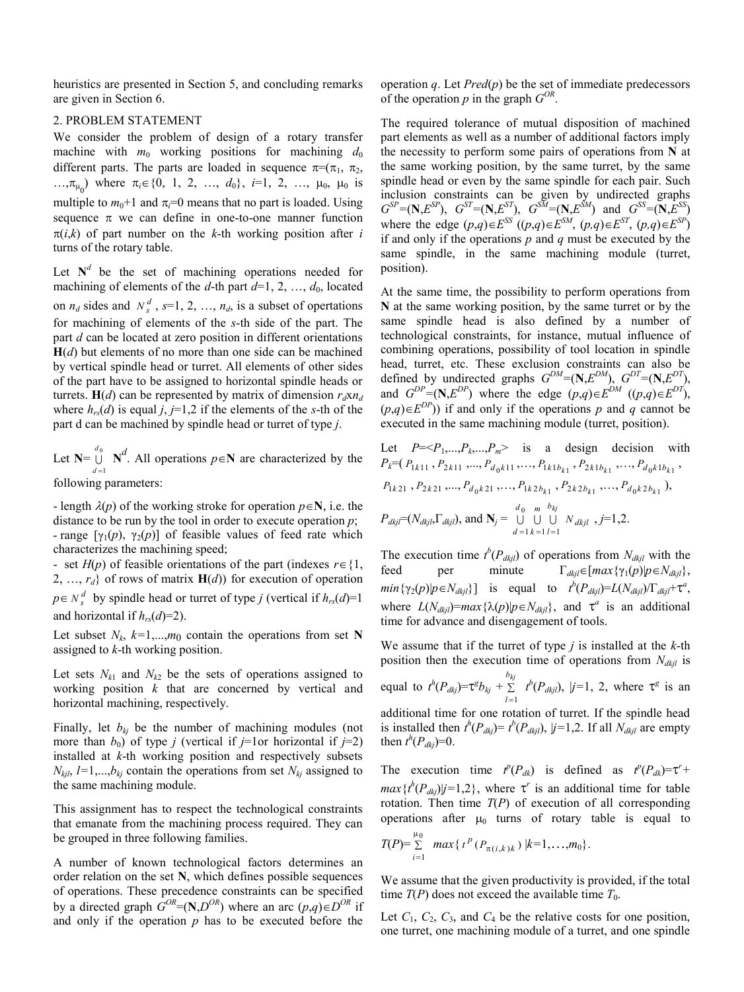heuristics are presented in Section 5, and concluding remarks are given in Section 6.

## 2. PROBLEM STATEMENT

We consider the problem of design of a rotary transfer machine with  $m_0$  working positions for machining  $d_0$ different parts. The parts are loaded in sequence  $\pi = (\pi_1, \pi_2, \pi_3)$ ..., $\pi_{\mu_0}$  where  $\pi_i \in \{0, 1, 2, ..., d_0\}$ , *i*=1, 2, ...,  $\mu_0$ ,  $\mu_0$  is multiple to  $m_0+1$  and  $\pi_i=0$  means that no part is loaded. Using sequence  $\pi$  we can define in one-to-one manner function  $\pi(i,k)$  of part number on the *k*-th working position after *i* turns of the rotary table.

Let  $N^d$  be the set of machining operations needed for machining of elements of the *d*-th part  $d=1, 2, ..., d_0$ , located on  $n_d$  sides and  $N_s^d$ ,  $s=1, 2, ..., n_d$ , is a subset of opertations for machining of elements of the *s*-th side of the part. The part *d* can be located at zero position in different orientations  $H(d)$  but elements of no more than one side can be machined by vertical spindle head or turret. All elements of other sides of the part have to be assigned to horizontal spindle heads or turrets. **H**(*d*) can be represented by matrix of dimension  $r_d$ x $n_d$ where  $h_{rs}(d)$  is equal *j*, *j*=1,2 if the elements of the *s*-th of the part d can be machined by spindle head or turret of type *j*.

Let  $N=$   $\bigcup_{0}^{a}$ 1 *d*  $\bigcup_{d=1}^{a_0} \mathbf{N}^d$ . All operations  $p \in \mathbf{N}$  are characterized by the following parameters:

- length  $\lambda(p)$  of the working stroke for operation  $p \in \mathbb{N}$ , i.e. the distance to be run by the tool in order to execute operation *p*; - range  $[\gamma_1(p), \gamma_2(p)]$  of feasible values of feed rate which characterizes the machining speed;

- set  $H(p)$  of feasible orientations of the part (indexes  $r \in \{1,$ 2, …, *rd*} of rows of matrix **H**(*d*)) for execution of operation  $p \in N_s^d$  by spindle head or turret of type *j* (vertical if  $h_{rs}(d)=1$ and horizontal if  $h_{rs}(d)=2$ ).

Let subset  $N_k$ ,  $k=1,...,m_0$  contain the operations from set **N** assigned to *k*-th working position.

Let sets  $N_{k1}$  and  $N_{k2}$  be the sets of operations assigned to working position *k* that are concerned by vertical and horizontal machining, respectively.

Finally, let  $b_{kj}$  be the number of machining modules (not more than  $b_0$ ) of type *j* (vertical if *j*=1or horizontal if *j*=2) installed at *k*-th working position and respectively subsets  $N_{kjl}$ ,  $l=1,...,b_{kj}$  contain the operations from set  $N_{kj}$  assigned to the same machining module.

This assignment has to respect the technological constraints that emanate from the machining process required. They can be grouped in three following families.

A number of known technological factors determines an order relation on the set **N**, which defines possible sequences of operations. These precedence constraints can be specified by a directed graph  $G^{OR} = (\mathbf{N}, D^{OR})$  where an arc  $(p,q) \in D^{OR}$  if and only if the operation *p* has to be executed before the

operation  $q$ . Let  $Pred(p)$  be the set of immediate predecessors of the operation  $p$  in the graph  $G^{OR}$ .

The required tolerance of mutual disposition of machined part elements as well as a number of additional factors imply the necessity to perform some pairs of operations from **N** at the same working position, by the same turret, by the same spindle head or even by the same spindle for each pair. Such inclusion constraints can be given by undirected graphs  $G^{SP}=(\mathbf{N}, E^{SP})$ ,  $G^{ST}=(\mathbf{N}, E^{ST})$ ,  $G^{SM}=(\mathbf{N}, E^{SM})$  and  $G^{SS}=(\mathbf{N}, E^{SS})$ where the edge  $(p,q) \in E^{SS}$   $((p,q) \in E^{SM}, (p,q) \in E^{ST}, (p,q) \in E^{SP})$ if and only if the operations *p* and *q* must be executed by the same spindle, in the same machining module (turret, position).

At the same time, the possibility to perform operations from **N** at the same working position, by the same turret or by the same spindle head is also defined by a number of technological constraints, for instance, mutual influence of combining operations, possibility of tool location in spindle head, turret, etc. These exclusion constraints can also be defined by undirected graphs  $G^{DM} = (\mathbf{N}, E^{DM})$ ,  $G^{DT} = (\mathbf{N}, E^{DT})$ , and  $G^{DP}=(\mathbf{N}, E^{DP})$  where the edge  $(p,q) \in E^{DM}$   $((p,q) \in E^{DT})$ ,  $(p,q) \in E^{DP}$ )) if and only if the operations *p* and *q* cannot be executed in the same machining module (turret, position).

Let 
$$
P=P1,...,Pk,...,Pm> is a design decision with\n $P_k=(P_{1k11}, P_{2k11},..., P_{d_0k11},..., P_{1k1b_{k1}}, P_{2k1b_{k1}},..., P_{d_0k1b_{k1}},$   
\n $P_{1k21}, P_{2k21},..., P_{d_0k21},..., P_{1k2b_{k1}}, P_{2k2b_{k1}},..., P_{d_0k2b_{k1}}),$   
\n $P_{dkjl}=(N_{dkjl}, \Gamma_{dkjl})$ , and  $\mathbf{N}_j = \bigcup_{d=1}^{d_0} \bigcup_{k=1}^{m} \bigcup_{l=1}^{k_{lj}}$   
\n $N_{dkjl}, j=1,2.$
$$

The execution time  $t^b(P_{\text{dkj}l})$  of operations from  $N_{\text{dkj}l}$  with the feed per minute  $\Gamma_{dkil} \in [max\{\gamma_1(p)|p \in N_{dkil}\},\]$  $min\{\gamma_2(p)|p \in N_{dkjl}\}\]$  is equal to  $t^b(P_{dkjl})=L(N_{dkjl})/\Gamma_{dkjl}+\tau^a$ , where  $L(N_{dki})=max\{\lambda(p)|p \in N_{dki}\}\$ , and  $\tau^a$  is an additional time for advance and disengagement of tools.

We assume that if the turret of type *j* is installed at the *k*-th position then the execution time of operations from *Ndkjl* is equal to  $t^h(P_{\text{dkj}}) = \tau^{\text{g}} b_{\text{kj}} + \sum_{l=1}^{\infty}$  $b_{kj}$  $l = 1$  $t^b(P_{\text{dkjl}})$ ,  $|j=1, 2$ , where  $\tau^g$  is an additional time for one rotation of turret. If the spindle head is installed then  $t^h(P_{\text{dkj}}) = t^b(P_{\text{dkj}})$ ,  $|j=1,2$ . If all  $N_{\text{dkj}}$  are empty then  $t^h(P_{dkj})=0$ .

The execution time  $t^p(P_{dk})$  is defined as  $t^p(P_{dk}) = \tau^r +$  $max\{t^{h}(P_{\frac{d}{t}})|j=1,2\}$ , where  $\tau^{r}$  is an additional time for table rotation. Then time  $T(P)$  of execution of all corresponding operations after  $\mu_0$  turns of rotary table is equal to

$$
T(P) = \sum_{i=1}^{\mu_0} \max \{ t^P (P_{\pi(i,k)k}) | k=1,\ldots,m_0 \}.
$$

We assume that the given productivity is provided, if the total time  $T(P)$  does not exceed the available time  $T_0$ .

Let  $C_1$ ,  $C_2$ ,  $C_3$ , and  $C_4$  be the relative costs for one position, one turret, one machining module of a turret, and one spindle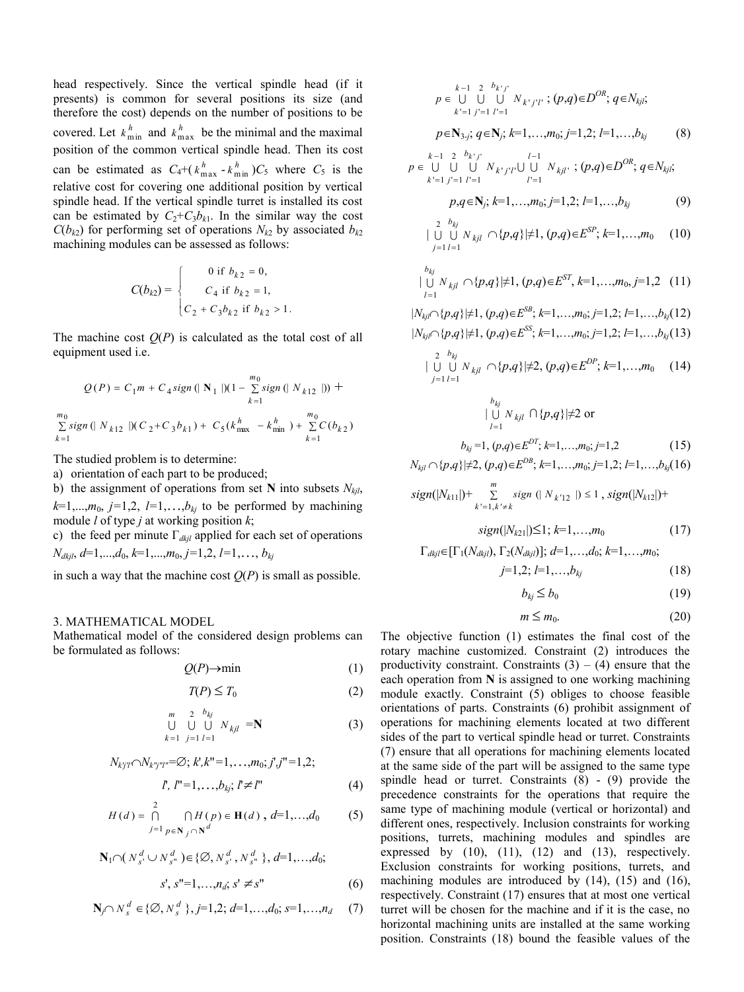head respectively. Since the vertical spindle head (if it presents) is common for several positions its size (and therefore the cost) depends on the number of positions to be covered. Let  $k_{\min}^h$  and  $k_{\max}^h$  be the minimal and the maximal position of the common vertical spindle head. Then its cost can be estimated as  $C_4+(k_{\text{max}}^h - k_{\text{min}}^h)C_5$  where  $C_5$  is the relative cost for covering one additional position by vertical spindle head. If the vertical spindle turret is installed its cost can be estimated by  $C_2+C_3b_{k1}$ . In the similar way the cost  $C(b_{k2})$  for performing set of operations  $N_{k2}$  by associated  $b_{k2}$ machining modules can be assessed as follows:

$$
C(b_{k2}) = \begin{cases} 0 \text{ if } b_{k2} = 0, \\ C_4 \text{ if } b_{k2} = 1, \\ C_2 + C_3 b_{k2} \text{ if } b_{k2} > 1. \end{cases}
$$

The machine cost  $Q(P)$  is calculated as the total cost of all equipment used i.e.

$$
Q(P) = C_1 m + C_4 sign \left( \|\mathbf{N}_1\| \right) \left(1 - \sum_{k=1}^{m_0} sign \left( \|\mathbf{N}_{k12}\| \right) \right) +
$$
  

$$
\sum_{k=1}^{m_0} sign \left( \|\mathbf{N}_{k12}\| \right) \left( C_2 + C_3 b_{k1} \right) + C_5 \left( k_{\text{max}}^h - k_{\text{min}}^h \right) + \sum_{k=1}^{m_0} C(b_{k2})
$$

The studied problem is to determine:

a) orientation of each part to be produced;

b) the assignment of operations from set **N** into subsets  $N_{kil}$ ,  $k=1,\ldots,m_0$ ,  $j=1,2$ ,  $l=1,\ldots,b_{kj}$  to be performed by machining module *l* of type *j* at working position *k*;

c) the feed per minute Г*dkjl* applied for each set of operations *Ndkjl*, *d*=1,...,*d*0, *k*=1,...,*m*0, *j=*1,2, *l=*1,, *bkj*

in such a way that the machine cost  $O(P)$  is small as possible.

# 3. MATHEMATICAL MODEL

Mathematical model of the considered design problems can be formulated as follows:

$$
Q(P) \to \min \tag{1}
$$

$$
T(P) \le T_0 \tag{2}
$$

$$
\begin{array}{ccccc}\nm & 2 & b_{kj} \\
\bigcup & \bigcup & \bigcup & N_{kjl} \\
k=1 & j=1 \ l=1\n\end{array} N_{kjl} = N
$$
\n(3)

$$
N_{kj'l'} \cap N_{k'j'l''} = \emptyset; k', k" = 1, \ldots, m_0; j', j" = 1, 2;
$$

$$
l', l'' = 1, \dots, b_{kj}; l' \neq l''
$$
 (4)

$$
H(d) = \bigcap_{j=1}^{2} \bigcap_{p \in \mathbf{N}_j \cap \mathbf{N}^d} H(p) \in \mathbf{H}(d) \ , \ d=1,...,d_0 \tag{5}
$$

$$
\mathbf{N}_{1} \cap (N_{s'}^{d} \cup N_{s''}^{d}) \in \{\emptyset, N_{s'}^{d}, N_{s''}^{d}\}, d=1,...,d_{0};
$$
  

$$
s', s''=1,...,n_{d}; s' \neq s''
$$
 (6)

$$
\mathbf{N}_f \cap N_s^d \in \{ \emptyset, N_s^d \}; j=1,2; d=1,\dots,d_0; s=1,\dots,n_d \quad (7)
$$

$$
p \in \bigcup_{k=1}^{k-1} \bigcup_{j=1}^{2} \bigcup_{l=1}^{k_{k}j} N_{k'j'l'} ; (p,q) \in D^{OR}; q \in N_{kjl};
$$
\n
$$
k' = 1 j' = 1 l' = 1
$$
\n
$$
p \in \mathbb{N}_{3,j}; q \in \mathbb{N}_{j}; k = 1, ..., m_0; j = 1, 2; l = 1, ..., b_{kj}
$$
\n
$$
p \in \bigcup_{k=1}^{k-1} \bigcup_{j=1}^{2} \bigcup_{l=1}^{k_{k}j'k} N_{k'j'l'} \bigcup_{l=1}^{l-1} N_{kjl'} ; (p,q) \in D^{OR}; q \in N_{kjl};
$$
\n
$$
p, q \in \mathbb{N}_{j}; k = 1, ..., m_0; j = 1, 2; l = 1, ..., b_{kj}
$$
\n
$$
p, q \in \mathbb{N}_{j}; k = 1, ..., m_0; j = 1, 2; l = 1, ..., b_{kj}
$$
\n
$$
\bigcup_{j=1}^{2} \bigcup_{l=1}^{k_{kj}} N_{kjl} \cap \{p, q\} \neq 1, (p, q) \in E^{ST}, k = 1, ..., m_0, j = 1, 2
$$
\n
$$
\bigcup_{l=1}^{k_{kj}} N_{kjl} \cap \{p, q\} \neq 1, (p, q) \in E^{ST}, k = 1, ..., m_0; j = 1, 2; l = 1, ..., b_{kj}
$$
\n
$$
\bigcup_{l=1}^{2} \bigcup_{l=1}^{k_{kj}} N_{kjl} \cap \{p, q\} \neq 2, (p, q) \in E^{DP}; k = 1, ..., b_{kj}
$$
\n
$$
\bigcup_{j=1}^{2} \bigcup_{l=1}^{k_{kj}} N_{kjl} \cap \{p, q\} \neq 2, (p, q) \in E^{DP}; k = 1, ..., m_0
$$
\n
$$
p \in \bigcup_{l=1}^{2} \bigcup_{l=1}^{k_{kj}} N_{kjl} \cap \{p, q\} \neq 2 \text{ or}
$$
\n
$$
b_{kj} = 1, (p, q) \in E^{DT}; k = 1, ..., m_0; j =
$$

$$
sign(|N_{k11}|) + \sum_{k'=1, k'\neq k}^{m} sign (|N_{k'12}|) \le 1, sign(|N_{k12}|) +
$$

$$
sign(|N_{k21}|) \le 1; k=1,...,m_0 \tag{17}
$$

$$
\Gamma_{dkjl} \in [\Gamma_1(N_{dkjl}), \Gamma_2(N_{dkjl})]; d=1,...,d_0; k=1,...,m_0;
$$

$$
j=1,2; l=1,\ldots,b_{kj} \tag{18}
$$

$$
b_{kj} \le b_0 \tag{19}
$$

$$
m \le m_0. \tag{20}
$$

The objective function (1) estimates the final cost of the rotary machine customized. Constraint (2) introduces the productivity constraint. Constraints  $(3) - (4)$  ensure that the each operation from **N** is assigned to one working machining module exactly. Constraint (5) obliges to choose feasible orientations of parts. Constraints (6) prohibit assignment of operations for machining elements located at two different sides of the part to vertical spindle head or turret. Constraints (7) ensure that all operations for machining elements located at the same side of the part will be assigned to the same type spindle head or turret. Constraints (8) - (9) provide the precedence constraints for the operations that require the same type of machining module (vertical or horizontal) and different ones, respectively. Inclusion constraints for working positions, turrets, machining modules and spindles are expressed by  $(10)$ ,  $(11)$ ,  $(12)$  and  $(13)$ , respectively. Exclusion constraints for working positions, turrets, and machining modules are introduced by  $(14)$ ,  $(15)$  and  $(16)$ , respectively. Constraint (17) ensures that at most one vertical turret will be chosen for the machine and if it is the case, no horizontal machining units are installed at the same working position. Constraints (18) bound the feasible values of the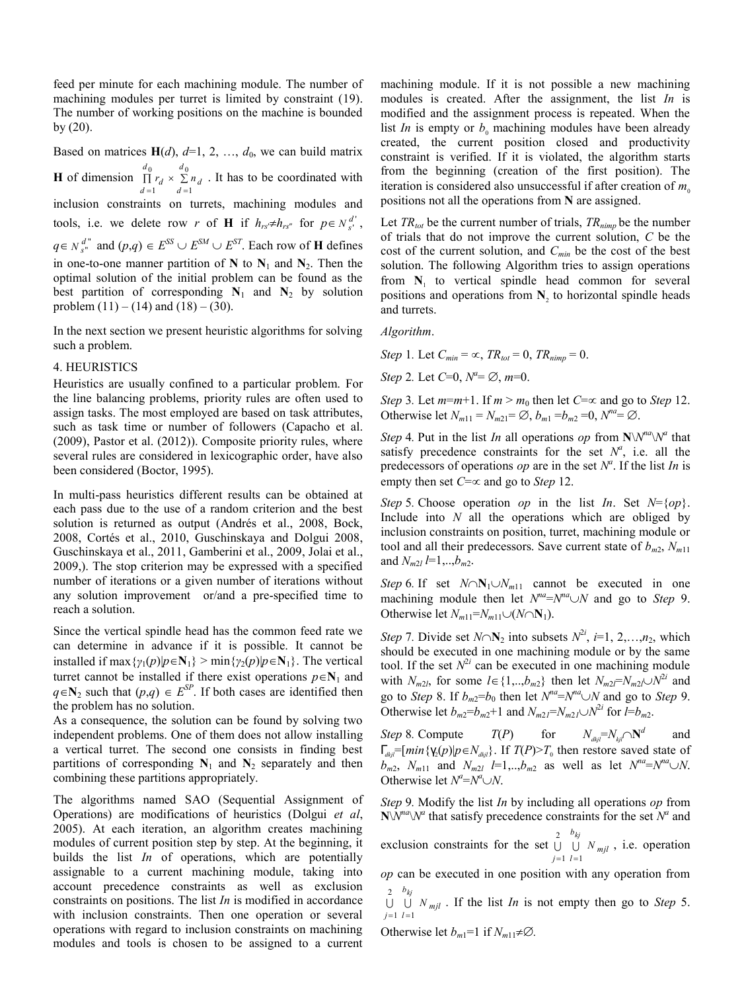feed per minute for each machining module. The number of machining modules per turret is limited by constraint (19). The number of working positions on the machine is bounded  $by (20)$ .

Based on matrices  $H(d)$ ,  $d=1, 2, ..., d_0$ , we can build matrix **H** of dimension  $\prod r_d \times \sum$  $=1$   $d=$ 0  $u_0$ 1  $d=1$ *d*  $\begin{array}{c} \n\angle n_d \\
d = 1\n\end{array}$ *d*  $\prod_{d=1}^r r_d \times \sum_{d=1}^r n_d$ . It has to be coordinated with inclusion constraints on turrets, machining modules and tools, i.e. we delete row *r* of **H** if  $h_{rs} \neq h_{rs}$  for  $p \in N_{s}^{d'}$ ,  $q \in N_{s}^{d^{n}}$  and  $(p,q) \in E^{SS} \cup E^{SM} \cup E^{ST}$ . Each row of **H** defines in one-to-one manner partition of  $N$  to  $N_1$  and  $N_2$ . Then the optimal solution of the initial problem can be found as the best partition of corresponding  $N_1$  and  $N_2$  by solution problem  $(11) - (14)$  and  $(18) - (30)$ .

In the next section we present heuristic algorithms for solving such a problem.

#### 4. HEURISTICS

Heuristics are usually confined to a particular problem. For the line balancing problems, priority rules are often used to assign tasks. The most employed are based on task attributes, such as task time or number of followers (Capacho et al. (2009), Pastor et al. (2012)). Composite priority rules, where several rules are considered in lexicographic order, have also been considered (Boctor, 1995).

In multi-pass heuristics different results can be obtained at each pass due to the use of a random criterion and the best solution is returned as output (Andrés et al., 2008, Bock, 2008, Cortés et al., 2010, Guschinskaya and Dolgui 2008, Guschinskaya et al., 2011, Gamberini et al., 2009, Jolai et al., 2009,). The stop criterion may be expressed with a specified number of iterations or a given number of iterations without any solution improvement or/and a pre-specified time to reach a solution.

Since the vertical spindle head has the common feed rate we can determine in advance if it is possible. It cannot be installed if max { $\gamma_1(p)|p \in N_1$ } > min{ $\gamma_2(p)|p \in N_1$ }. The vertical turret cannot be installed if there exist operations  $p \in N_1$  and  $q \in \mathbb{N}_2$  such that  $(p,q) \in E^{SP}$ . If both cases are identified then the problem has no solution.

As a consequence, the solution can be found by solving two independent problems. One of them does not allow installing a vertical turret. The second one consists in finding best partitions of corresponding  $N_1$  and  $N_2$  separately and then combining these partitions appropriately.

The algorithms named SAO (Sequential Assignment of Operations) are modifications of heuristics (Dolgui *et al*, 2005). At each iteration, an algorithm creates machining modules of current position step by step. At the beginning, it builds the list *In* of operations, which are potentially assignable to a current machining module, taking into account precedence constraints as well as exclusion constraints on positions. The list *In* is modified in accordance with inclusion constraints. Then one operation or several operations with regard to inclusion constraints on machining modules and tools is chosen to be assigned to a current machining module. If it is not possible a new machining modules is created. After the assignment, the list *In* is modified and the assignment process is repeated. When the list *In* is empty or  $b<sub>0</sub>$  machining modules have been already created, the current position closed and productivity constraint is verified. If it is violated, the algorithm starts from the beginning (creation of the first position). The iteration is considered also unsuccessful if after creation of  $m<sub>o</sub>$ positions not all the operations from **N** are assigned.

Let  $TR_{tot}$  be the current number of trials,  $TR_{nimp}$  be the number of trials that do not improve the current solution, *C* be the cost of the current solution, and *Cmin* be the cost of the best solution. The following Algorithm tries to assign operations from  $N_1$  to vertical spindle head common for several positions and operations from N<sub>2</sub> to horizontal spindle heads and turrets.

*Algorithm*.

- *Step* 1*.* Let  $C_{min} = \infty$ ,  $TR_{tot} = 0$ ,  $TR_{nimm} = 0$ .
- *Step* 2*.* Let  $C=0$ ,  $N^a = \emptyset$ ,  $m=0$ .

*Step* 3*.* Let  $m=m+1$ . If  $m > m_0$  then let  $C=\infty$  and go to *Step* 12*.* Otherwise let  $N_{m11} = N_{m21} = \emptyset$ ,  $b_{m1} = b_{m2} = 0$ ,  $N^{na} = \emptyset$ .

*Step* 4*.* Put in the list *In* all operations *op* from  $\mathbb{N}\setminus\mathbb{N}^{na}\setminus\mathbb{N}^{a}$  that satisfy precedence constraints for the set  $N^a$ , i.e. all the predecessors of operations  $op$  are in the set  $N^a$ . If the list *In* is empty then set  $C = \infty$  and go to *Step* 12.

*Step* 5*.* Choose operation *op* in the list *In*. Set  $N = \{op\}$ . Include into *N* all the operations which are obliged by inclusion constraints on position, turret, machining module or tool and all their predecessors. Save current state of  $b_{m2}$ ,  $N_{m11}$ and  $N_{m2l}$   $l=1,..,b_{m2}$ .

*Step* 6*.* If set  $N \cap N_1 \cup N_{m11}$  cannot be executed in one machining module then let  $N^{na} = N^{na} \cup N$  and go to *Step* 9. Otherwise let  $N_{m11} = N_{m11} \cup (N \cap N_1)$ .

*Step* 7. Divide set  $N \cap N_2$  into subsets  $N^{2i}$ ,  $i=1, 2, \ldots, n_2$ , which should be executed in one machining module or by the same tool. If the set  $N^{2i}$  can be executed in one machining module with  $N_{m2l}$ , for some  $l \in \{1,..,b_{m2}\}$  then let  $N_{m2l} = N_{m2l} \cup N^{2l}$  and go to *Step* 8. If  $b_{m2} = b_0$  then let  $N^{na} = N^{na} \cup N$  and go to *Step* 9. Otherwise let  $b_{m2} = b_{m2} + 1$  and  $N_{m2} = N_{m2} \cup N^{2i}$  for  $l = b_{m2}$ .

*Step* 8*.* Compute  $T(P)$  for  $N_{dkl} = N_{kil} \cap \mathbb{N}^d$  and  $\int_{\frac{d}{y}} \frac{f}{f} \left[ min \{ Y_2(p) | p \in N_{\frac{d}{y}} \}$ . If  $T(P) > T_0$  then restore saved state of  $b_{m2}$ ,  $N_{m11}$  and  $N_{m2l}$  *l*=1,.., $b_{m2}$  as well as let  $N^{na} = N^{na} \cup N$ . Otherwise let  $N^a = N^a \cup N$ .

*Step* 9*.* Modify the list *In* by including all operations *op* from  $N\bar{N}^{na}\bar{N}^{a}$  that satisfy precedence constraints for the set  $\bar{N}^{a}$  and

exclusion constraints for the set  $\cup$   $\cup$   $N_{mji}$ *b lj* 2 <sup>*o<sub>kj</sub>*<br>U U *N*</sup> 1 2  $=1$   $l=$ , i.e. operation

*op* can be executed in one position with any operation from *b* 2

*mjl lj N kj* 1  $=1$   $l=$ . If the list *In* is not empty then go to *Step* 5.

Otherwise let  $b_{m1}=1$  if  $N_{m11}\neq\emptyset$ .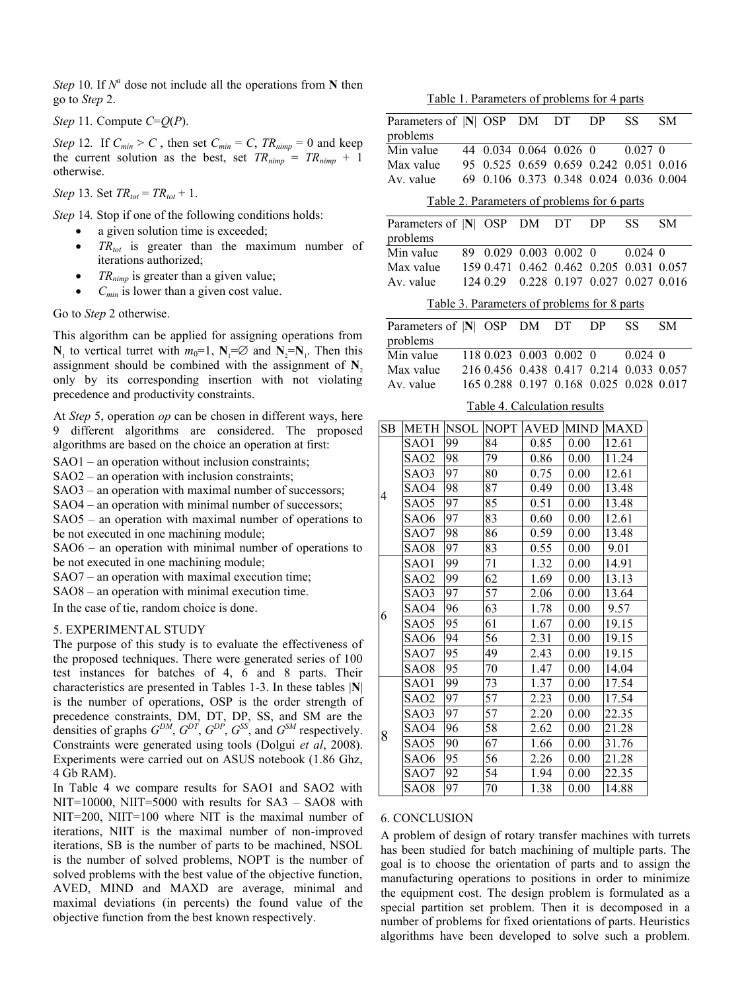*Step* 10*.* If  $N^a$  dose not include all the operations from **N** then go to *Step* 2.

*Step* 11*.* Compute *C*=*Q*(*P*).

*Step* 12*.* If  $C_{min} > C$ , then set  $C_{min} = C$ ,  $TR_{nimp} = 0$  and keep the current solution as the best, set  $TR_{nimm} = TR_{nimm} + 1$ otherwise.

*Step* 13*.* Set  $TR_{tot} = TR_{tot} + 1$ .

*Step* 14*.* Stop if one of the following conditions holds:

- a given solution time is exceeded;
- *TRtot* is greater than the maximum number of iterations authorized;
- *TR<sub>nimp</sub>* is greater than a given value;
- *Cmin* is lower than a given cost value.

Go to *Step* 2 otherwise.

This algorithm can be applied for assigning operations from **N**<sub>1</sub> to vertical turret with  $m_0=1$ ,  $N_1 = \emptyset$  and  $N_2 = N_1$ . Then this assignment should be combined with the assignment of  $N$ <sub>2</sub> only by its corresponding insertion with not violating precedence and productivity constraints.

At *Step* 5, operation *op* can be chosen in different ways, here 9 different algorithms are considered. The proposed algorithms are based on the choice an operation at first:

SAO1 – an operation without inclusion constraints;

SAO2 – an operation with inclusion constraints;

SAO3 – an operation with maximal number of successors;

SAO4 – an operation with minimal number of successors;

SAO5 – an operation with maximal number of operations to be not executed in one machining module;

SAO6 – an operation with minimal number of operations to be not executed in one machining module;

SAO7 – an operation with maximal execution time;

SAO8 – an operation with minimal execution time.

In the case of tie, random choice is done.

#### 5. EXPERIMENTAL STUDY

The purpose of this study is to evaluate the effectiveness of the proposed techniques. There were generated series of 100 test instances for batches of 4, 6 and 8 parts. Their characteristics are presented in Tables 1-3. In these tables |**N**| is the number of operations, OSP is the order strength of precedence constraints, DM, DT, DP, SS, and SM are the densities of graphs  $G^{DM}$ ,  $G^{DT}$ ,  $G^{DP}$ ,  $G^{SS}$ , and  $G^{SM}$  respectively. Constraints were generated using tools (Dolgui *et al*, 2008). Experiments were carried out on ASUS notebook (1.86 Ghz, 4 Gb RAM).

In Table 4 we compare results for SAO1 and SAO2 with NIT=10000, NIIT=5000 with results for SA3 – SAO8 with NIT=200, NIIT=100 where NIT is the maximal number of iterations, NIIT is the maximal number of non-improved iterations, SB is the number of parts to be machined, NSOL is the number of solved problems, NOPT is the number of solved problems with the best value of the objective function, AVED, MIND and MAXD are average, minimal and maximal deviations (in percents) the found value of the objective function from the best known respectively.

Table 1. Parameters of problems for 4 parts

| raoic<br><u>I diameters of problems for + parts</u> |                                                      |                 |    |                                         |                        |                               |                        |                              |               |                    |                                         |    |            |
|-----------------------------------------------------|------------------------------------------------------|-----------------|----|-----------------------------------------|------------------------|-------------------------------|------------------------|------------------------------|---------------|--------------------|-----------------------------------------|----|------------|
| Parameters of  N  OSP DM<br>problems                |                                                      |                 |    |                                         |                        |                               |                        | DT 1                         | DP            |                    | SS <sub>1</sub>                         |    | ${\rm SM}$ |
| Min value                                           |                                                      |                 |    |                                         |                        |                               | 44 0.034 0.064 0.026 0 |                              |               |                    | $0.027$ 0                               |    |            |
|                                                     | Max value                                            |                 |    |                                         |                        |                               |                        |                              |               |                    | 95 0.525 0.659 0.659 0.242 0.051 0.016  |    |            |
| Av. value                                           |                                                      |                 | 69 |                                         |                        |                               | 0.106 0.373 0.348      |                              |               |                    | 0.024 0.036 0.004                       |    |            |
|                                                     |                                                      |                 |    |                                         |                        |                               |                        |                              |               |                    |                                         |    |            |
| Table 2. Parameters of problems for 6 parts<br>DP   |                                                      |                 |    |                                         |                        |                               |                        |                              |               |                    |                                         |    |            |
| Parameters of  N  OSP DM                            |                                                      |                 |    |                                         |                        |                               | DT                     |                              |               | SS                 |                                         | SM |            |
| problems                                            |                                                      |                 |    |                                         |                        |                               |                        |                              |               |                    |                                         |    |            |
|                                                     | Min value                                            |                 |    |                                         | 89 0.029 0.003 0.002 0 |                               |                        |                              |               |                    | $0.024$ 0                               |    |            |
| Max value                                           |                                                      |                 |    |                                         |                        |                               |                        |                              |               |                    | 159 0.471 0.462 0.462 0.205 0.031 0.057 |    |            |
| Av. value                                           |                                                      |                 |    | 124 0.29                                |                        | 0.228 0.197 0.027 0.027 0.016 |                        |                              |               |                    |                                         |    |            |
| Table 3. Parameters of problems for 8 parts         |                                                      |                 |    |                                         |                        |                               |                        |                              |               |                    |                                         |    |            |
| Parameters of  N  OSP DM DT DP                      |                                                      |                 |    |                                         |                        |                               |                        |                              |               |                    | <b>SS</b>                               |    | SM         |
| problems                                            |                                                      |                 |    |                                         |                        |                               |                        |                              |               |                    |                                         |    |            |
|                                                     | $1180.023$ 0.003 0.002 0 0.024 0<br>Min value        |                 |    |                                         |                        |                               |                        |                              |               |                    |                                         |    |            |
| Max value                                           |                                                      |                 |    | 216 0.456 0.438 0.417 0.214 0.033 0.057 |                        |                               |                        |                              |               |                    |                                         |    |            |
|                                                     | 165 0.288 0.197 0.168 0.025 0.028 0.017<br>Av. value |                 |    |                                         |                        |                               |                        |                              |               |                    |                                         |    |            |
|                                                     |                                                      |                 |    | Table 4. Calculation results            |                        |                               |                        |                              |               |                    |                                         |    |            |
| $\overline{\text{SB}}$                              | <b>METH NSOL</b>                                     |                 |    |                                         |                        |                               |                        |                              |               |                    |                                         |    |            |
|                                                     | SAO1                                                 | 99              |    | <b>NOPT AVED</b><br>$\overline{84}$     |                        | 0.85                          |                        | <b>MIND MAXD</b><br>$0.00\,$ |               | $\overline{12.61}$ |                                         |    |            |
| 4                                                   | SAO2                                                 | 98              |    | 79                                      |                        | 0.86                          |                        | $0.00\,$                     |               | 11.24              |                                         |    |            |
|                                                     | SAO3                                                 | $\overline{97}$ |    | 80                                      |                        | 0.75                          |                        | 0.00                         |               | 12.61              |                                         |    |            |
|                                                     |                                                      | 98              |    |                                         |                        | 0.49                          |                        |                              |               | 13.48              |                                         |    |            |
|                                                     | SAO4                                                 | 97              |    | 87                                      |                        |                               |                        | 0.00                         |               |                    |                                         |    |            |
|                                                     | SAO5                                                 |                 |    | 85                                      |                        | 0.51                          |                        | 0.00                         | 13.48         |                    |                                         |    |            |
|                                                     | SAO6                                                 | 97              |    | 83                                      |                        | 0.60                          |                        | 0.00                         | 12.61         |                    |                                         |    |            |
|                                                     | SAO7                                                 | 98              |    | 86                                      |                        | 0.59                          |                        | 0.00                         | 13.48         |                    |                                         |    |            |
|                                                     | SAO <sub>8</sub>                                     | 97              |    | 83                                      |                        | 0.55                          |                        | 0.00                         | 9.01          |                    |                                         |    |            |
| 6                                                   | SAO1                                                 | 99              |    | 71                                      |                        | 1.32                          |                        | 0.00                         |               | 14.91              |                                         |    |            |
|                                                     | SAO <sub>2</sub>                                     | 99              |    | 62                                      |                        | 1.69                          |                        | 0.00                         |               | 13.13              |                                         |    |            |
|                                                     | SAO3                                                 | 97              |    | 57                                      |                        | 2.06                          |                        | 0.00                         |               | 13.64              |                                         |    |            |
|                                                     | SAO4                                                 | 96              |    | 63                                      |                        | 1.78                          | 0.00                   |                              |               | 9.57               |                                         |    |            |
|                                                     | SAO5                                                 | 95              |    | 61                                      |                        | 1.67                          |                        | 0.00                         |               | 19.15              |                                         |    |            |
|                                                     | SAO <sub>6</sub>                                     | 94              |    | 56                                      |                        | 2.31                          |                        | 0.00                         |               | 19.15              |                                         |    |            |
|                                                     | $\overline{\text{SAO}}$ 7                            | $\overline{95}$ |    | 49                                      | $\overline{2.43}$      |                               |                        | 0.00                         |               | 19.15              |                                         |    |            |
|                                                     | SAO8                                                 | 95              |    | 70                                      | 1.47                   |                               |                        |                              | 14.04<br>0.00 |                    |                                         |    |            |
| 8                                                   | SAO1                                                 | 99              |    | 73                                      |                        | 1.37                          |                        | 0.00                         |               | 17.54              |                                         |    |            |
|                                                     | SAO <sub>2</sub>                                     | 97              |    | 57                                      | 2.23                   |                               |                        | 0.00                         |               | 17.54              |                                         |    |            |
|                                                     | SAO3                                                 | 97              |    | 57                                      | 2.20                   |                               |                        | 0.00                         |               | $22.\overline{35}$ |                                         |    |            |
|                                                     | SAO <sub>4</sub>                                     | 96              |    | 58                                      | 2.62                   |                               |                        | 0.00                         |               | 21.28              |                                         |    |            |
|                                                     | SAO5                                                 | 90              |    | 67                                      | 1.66                   |                               |                        | 0.00                         |               | 31.76              |                                         |    |            |
|                                                     | SAO6                                                 | 95              |    | 56                                      |                        | 2.26                          |                        | 0.00                         |               | 21.28              |                                         |    |            |
|                                                     |                                                      |                 |    |                                         |                        |                               |                        |                              |               |                    |                                         |    |            |

#### 6. CONCLUSION

A problem of design of rotary transfer machines with turrets has been studied for batch machining of multiple parts. The goal is to choose the orientation of parts and to assign the manufacturing operations to positions in order to minimize the equipment cost. The design problem is formulated as a special partition set problem. Then it is decomposed in a number of problems for fixed orientations of parts. Heuristics algorithms have been developed to solve such a problem.

SAO7 92 54 1.94 0.00 22.35 SAO8 97 70 1.38 0.00 14.88